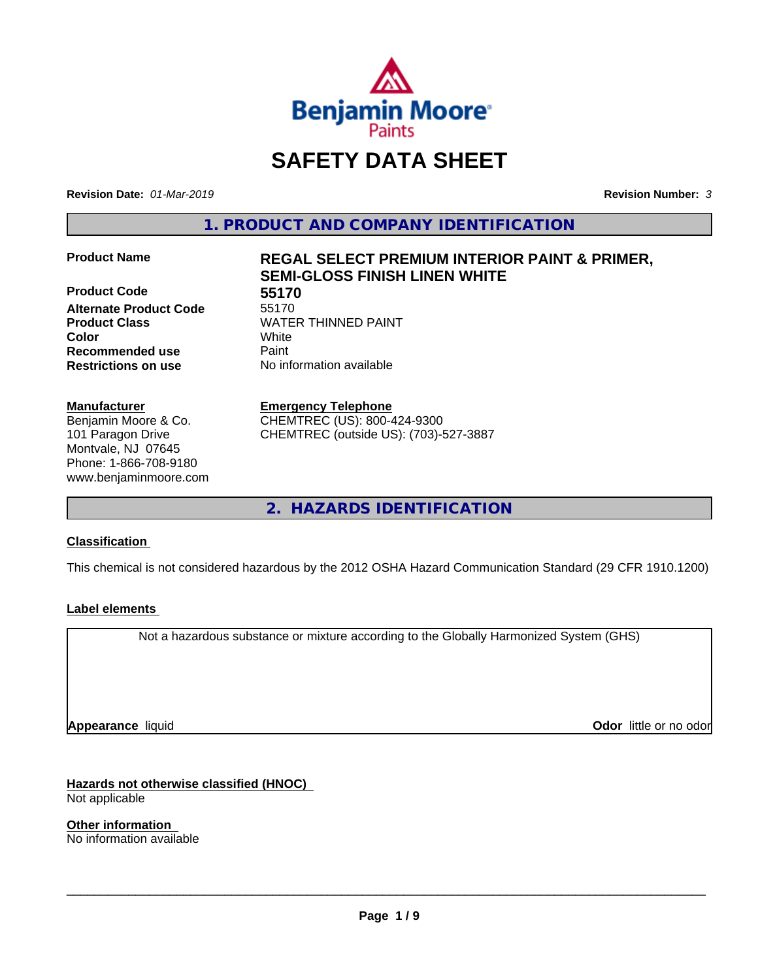

# **SAFETY DATA SHEET**

**Revision Date:** *01-Mar-2019* **Revision Number:** *3*

**1. PRODUCT AND COMPANY IDENTIFICATION**

**Product Code 55170 Alternate Product Code** 55170 **Product Class WATER THINNED PAINT Recommended use Caint Restrictions on use** No information available

#### **Manufacturer**

Benjamin Moore & Co. 101 Paragon Drive Montvale, NJ 07645 Phone: 1-866-708-9180 www.benjaminmoore.com

# **Product Name REGAL SELECT PREMIUM INTERIOR PAINT & PRIMER, SEMI-GLOSS FINISH LINEN WHITE**

**Color** White

**Emergency Telephone**

CHEMTREC (US): 800-424-9300 CHEMTREC (outside US): (703)-527-3887

**2. HAZARDS IDENTIFICATION**

#### **Classification**

This chemical is not considered hazardous by the 2012 OSHA Hazard Communication Standard (29 CFR 1910.1200)

#### **Label elements**

Not a hazardous substance or mixture according to the Globally Harmonized System (GHS)

**Appearance** liquid

**Odor** little or no odor

**Hazards not otherwise classified (HNOC)** Not applicable

**Other information** No information available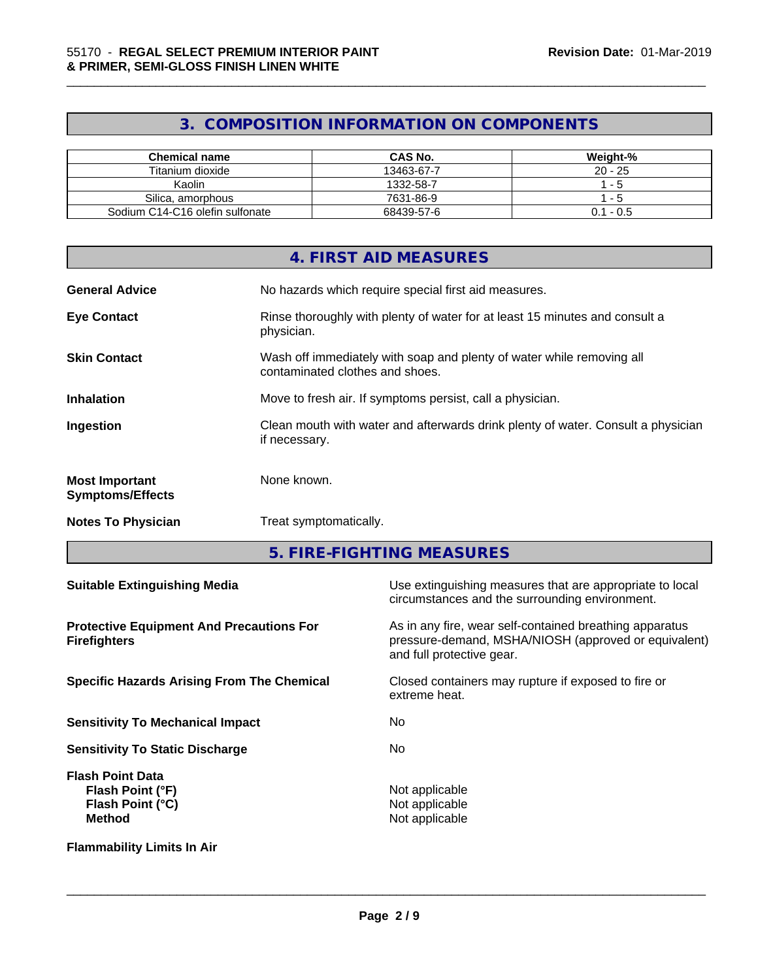# **3. COMPOSITION INFORMATION ON COMPONENTS**

\_\_\_\_\_\_\_\_\_\_\_\_\_\_\_\_\_\_\_\_\_\_\_\_\_\_\_\_\_\_\_\_\_\_\_\_\_\_\_\_\_\_\_\_\_\_\_\_\_\_\_\_\_\_\_\_\_\_\_\_\_\_\_\_\_\_\_\_\_\_\_\_\_\_\_\_\_\_\_\_\_\_\_\_\_\_\_\_\_\_\_\_\_

| Chemical name                   | <b>CAS No.</b> | Weight-%    |
|---------------------------------|----------------|-------------|
| Titanium dioxide                | 13463-67-7     | $20 - 25$   |
| Kaolin                          | 1332-58-7      | - 5         |
| Silica, amorphous               | 7631-86-9      | - 5         |
| Sodium C14-C16 olefin sulfonate | 68439-57-6     | $0.1 - 0.5$ |

|                                                  | 4. FIRST AID MEASURES                                                                                    |
|--------------------------------------------------|----------------------------------------------------------------------------------------------------------|
| <b>General Advice</b>                            | No hazards which require special first aid measures.                                                     |
| <b>Eye Contact</b>                               | Rinse thoroughly with plenty of water for at least 15 minutes and consult a<br>physician.                |
| <b>Skin Contact</b>                              | Wash off immediately with soap and plenty of water while removing all<br>contaminated clothes and shoes. |
| <b>Inhalation</b>                                | Move to fresh air. If symptoms persist, call a physician.                                                |
| Ingestion                                        | Clean mouth with water and afterwards drink plenty of water. Consult a physician<br>if necessary.        |
| <b>Most Important</b><br><b>Symptoms/Effects</b> | None known.                                                                                              |
| <b>Notes To Physician</b>                        | Treat symptomatically.                                                                                   |
|                                                  |                                                                                                          |

**5. FIRE-FIGHTING MEASURES**

| <b>Suitable Extinguishing Media</b>                                              | Use extinguishing measures that are appropriate to local<br>circumstances and the surrounding environment.                                   |
|----------------------------------------------------------------------------------|----------------------------------------------------------------------------------------------------------------------------------------------|
| <b>Protective Equipment And Precautions For</b><br><b>Firefighters</b>           | As in any fire, wear self-contained breathing apparatus<br>pressure-demand, MSHA/NIOSH (approved or equivalent)<br>and full protective gear. |
| <b>Specific Hazards Arising From The Chemical</b>                                | Closed containers may rupture if exposed to fire or<br>extreme heat.                                                                         |
| <b>Sensitivity To Mechanical Impact</b>                                          | No.                                                                                                                                          |
| <b>Sensitivity To Static Discharge</b>                                           | No.                                                                                                                                          |
| <b>Flash Point Data</b><br>Flash Point (°F)<br>Flash Point (°C)<br><b>Method</b> | Not applicable<br>Not applicable<br>Not applicable                                                                                           |
| <b>Flammability Limits In Air</b>                                                |                                                                                                                                              |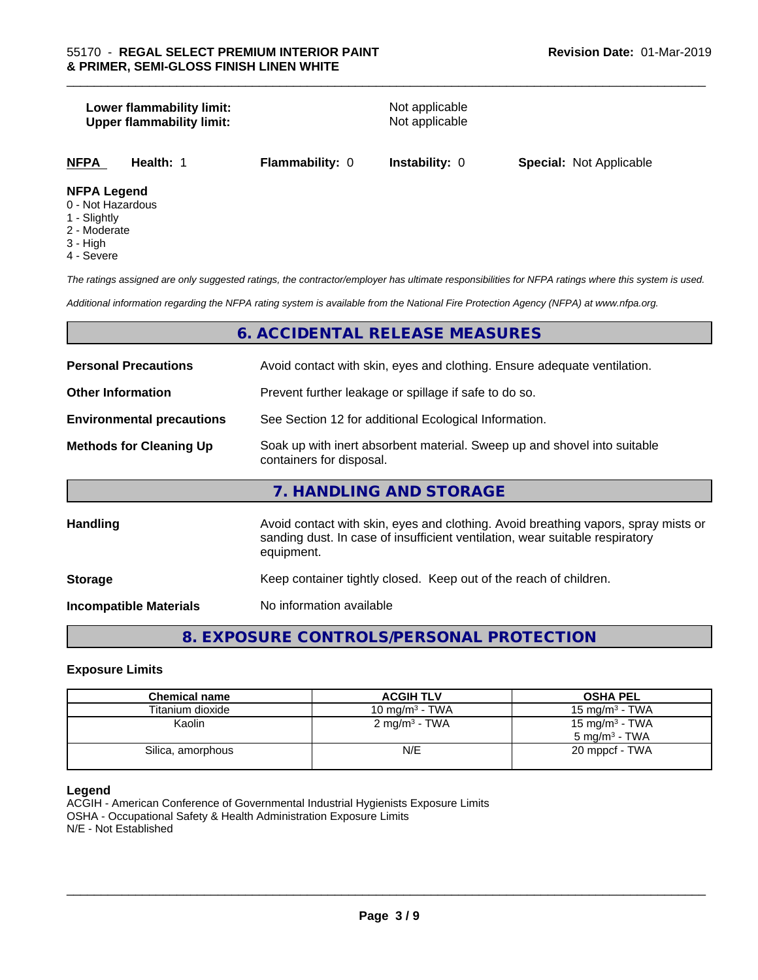# **Lower flammability limit:**<br> **Upper flammability limit:**<br>
Upper flammability limit:<br>
Not applicable **Upper flammability limit: NFPA Health:** 1 **Flammability:** 0 **Instability:** 0 **Special:** Not Applicable **NFPA Legend**

- 0 Not Hazardous
- 1 Slightly
- 2 Moderate
- 3 High
- 4 Severe

*The ratings assigned are only suggested ratings, the contractor/employer has ultimate responsibilities for NFPA ratings where this system is used.*

\_\_\_\_\_\_\_\_\_\_\_\_\_\_\_\_\_\_\_\_\_\_\_\_\_\_\_\_\_\_\_\_\_\_\_\_\_\_\_\_\_\_\_\_\_\_\_\_\_\_\_\_\_\_\_\_\_\_\_\_\_\_\_\_\_\_\_\_\_\_\_\_\_\_\_\_\_\_\_\_\_\_\_\_\_\_\_\_\_\_\_\_\_

*Additional information regarding the NFPA rating system is available from the National Fire Protection Agency (NFPA) at www.nfpa.org.*

# **6. ACCIDENTAL RELEASE MEASURES**

| <b>Personal Precautions</b>      | Avoid contact with skin, eyes and clothing. Ensure adequate ventilation.                                                                                                         |
|----------------------------------|----------------------------------------------------------------------------------------------------------------------------------------------------------------------------------|
| <b>Other Information</b>         | Prevent further leakage or spillage if safe to do so.                                                                                                                            |
| <b>Environmental precautions</b> | See Section 12 for additional Ecological Information.                                                                                                                            |
| <b>Methods for Cleaning Up</b>   | Soak up with inert absorbent material. Sweep up and shovel into suitable<br>containers for disposal.                                                                             |
|                                  | 7. HANDLING AND STORAGE                                                                                                                                                          |
| Handling                         | Avoid contact with skin, eyes and clothing. Avoid breathing vapors, spray mists or<br>sanding dust. In case of insufficient ventilation, wear suitable respiratory<br>equipment. |
| <b>Storage</b>                   | Keep container tightly closed. Keep out of the reach of children.                                                                                                                |
| <b>Incompatible Materials</b>    | No information available                                                                                                                                                         |

# **8. EXPOSURE CONTROLS/PERSONAL PROTECTION**

#### **Exposure Limits**

| <b>Chemical name</b> | <b>ACGIH TLV</b>         | <b>OSHA PEL</b>            |
|----------------------|--------------------------|----------------------------|
| Titanium dioxide     | 10 mg/m $3$ - TWA        | 15 mg/m $3$ - TWA          |
| Kaolin               | $2 \text{ mg/m}^3$ - TWA | 15 mg/m <sup>3</sup> - TWA |
|                      |                          | $5 \text{ ma/m}^3$ - TWA   |
| Silica, amorphous    | N/E                      | 20 mppcf - TWA             |
|                      |                          |                            |

#### **Legend**

ACGIH - American Conference of Governmental Industrial Hygienists Exposure Limits OSHA - Occupational Safety & Health Administration Exposure Limits N/E - Not Established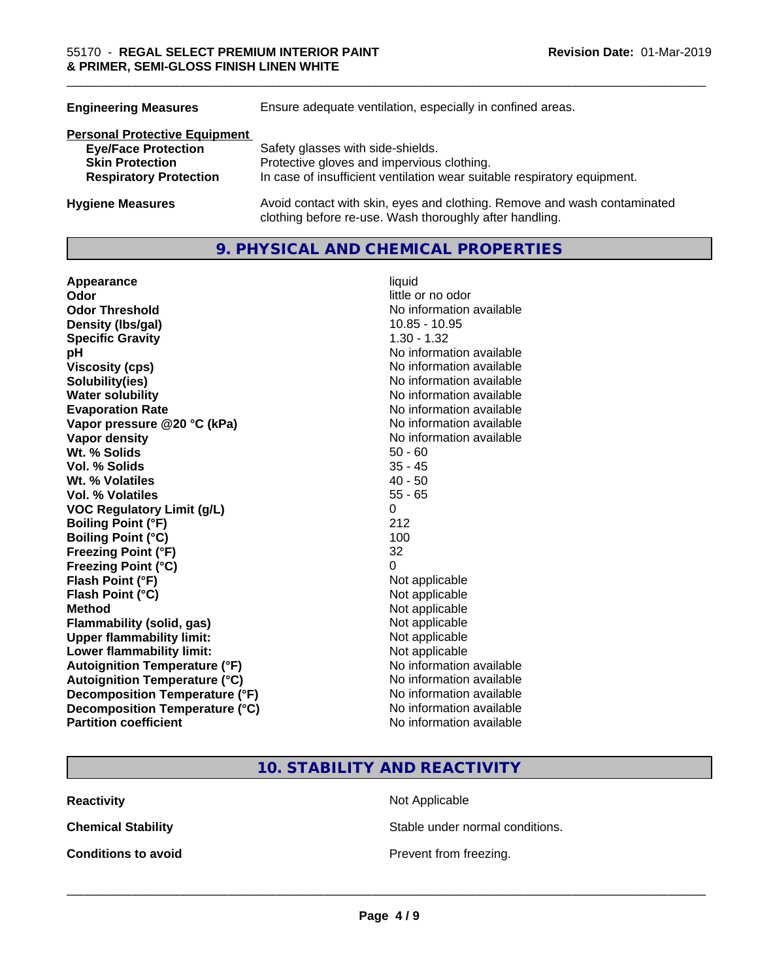| <b>Engineering Measures</b>          | Ensure adequate ventilation, especially in confined areas.                                                                          |
|--------------------------------------|-------------------------------------------------------------------------------------------------------------------------------------|
| <b>Personal Protective Equipment</b> |                                                                                                                                     |
| <b>Eye/Face Protection</b>           | Safety glasses with side-shields.                                                                                                   |
| <b>Skin Protection</b>               | Protective gloves and impervious clothing.                                                                                          |
| <b>Respiratory Protection</b>        | In case of insufficient ventilation wear suitable respiratory equipment.                                                            |
| <b>Hygiene Measures</b>              | Avoid contact with skin, eyes and clothing. Remove and wash contaminated<br>clothing before re-use. Wash thoroughly after handling. |

# **9. PHYSICAL AND CHEMICAL PROPERTIES**

| Appearance                           | liquid                   |
|--------------------------------------|--------------------------|
| Odor                                 | little or no odor        |
| <b>Odor Threshold</b>                | No information available |
| Density (Ibs/gal)                    | 10.85 - 10.95            |
| <b>Specific Gravity</b>              | $1.30 - 1.32$            |
| pH                                   | No information available |
| <b>Viscosity (cps)</b>               | No information available |
| Solubility(ies)                      | No information available |
| <b>Water solubility</b>              | No information available |
| <b>Evaporation Rate</b>              | No information available |
| Vapor pressure @20 °C (kPa)          | No information available |
| Vapor density                        | No information available |
| Wt. % Solids                         | $50 - 60$                |
| <b>Vol. % Solids</b>                 | $35 - 45$                |
| Wt. % Volatiles                      | $40 - 50$                |
| <b>Vol. % Volatiles</b>              | $55 - 65$                |
| <b>VOC Regulatory Limit (g/L)</b>    | 0                        |
| <b>Boiling Point (°F)</b>            | 212                      |
| <b>Boiling Point (°C)</b>            | 100                      |
| <b>Freezing Point (°F)</b>           | 32                       |
| Freezing Point (°C)                  | 0                        |
| Flash Point (°F)                     | Not applicable           |
| Flash Point (°C)                     | Not applicable           |
| <b>Method</b>                        | Not applicable           |
| <b>Flammability (solid, gas)</b>     | Not applicable           |
| <b>Upper flammability limit:</b>     | Not applicable           |
| Lower flammability limit:            | Not applicable           |
| <b>Autoignition Temperature (°F)</b> | No information available |
| <b>Autoignition Temperature (°C)</b> | No information available |
| Decomposition Temperature (°F)       | No information available |
| Decomposition Temperature (°C)       | No information available |
| <b>Partition coefficient</b>         | No information available |

**10. STABILITY AND REACTIVITY**

**Reactivity** Not Applicable

**Chemical Stability Stable under normal conditions.** 

**Conditions to avoid Conditions to avoid Prevent from freezing.**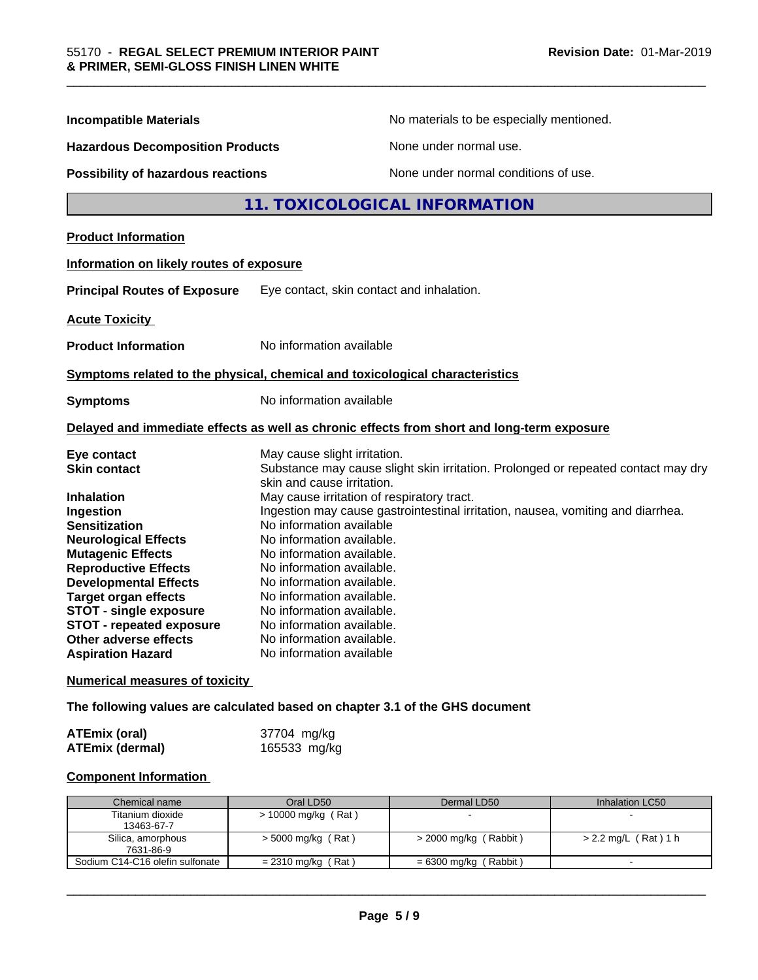| <b>Incompatible Materials</b>                            | No materials to be especially mentioned.                                                   |
|----------------------------------------------------------|--------------------------------------------------------------------------------------------|
| <b>Hazardous Decomposition Products</b>                  | None under normal use.                                                                     |
| Possibility of hazardous reactions                       | None under normal conditions of use.                                                       |
|                                                          | 11. TOXICOLOGICAL INFORMATION                                                              |
| <b>Product Information</b>                               |                                                                                            |
| Information on likely routes of exposure                 |                                                                                            |
| <b>Principal Routes of Exposure</b>                      | Eye contact, skin contact and inhalation.                                                  |
| <b>Acute Toxicity</b>                                    |                                                                                            |
| <b>Product Information</b>                               | No information available                                                                   |
|                                                          | Symptoms related to the physical, chemical and toxicological characteristics               |
|                                                          |                                                                                            |
| <b>Symptoms</b>                                          | No information available                                                                   |
|                                                          | Delayed and immediate effects as well as chronic effects from short and long-term exposure |
| Eye contact                                              | May cause slight irritation.                                                               |
| <b>Skin contact</b>                                      | Substance may cause slight skin irritation. Prolonged or repeated contact may dry          |
|                                                          | skin and cause irritation.                                                                 |
| Inhalation                                               | May cause irritation of respiratory tract.                                                 |
| Ingestion                                                | Ingestion may cause gastrointestinal irritation, nausea, vomiting and diarrhea.            |
| <b>Sensitization</b>                                     | No information available                                                                   |
| <b>Neurological Effects</b>                              | No information available.                                                                  |
| <b>Mutagenic Effects</b>                                 | No information available.                                                                  |
| <b>Reproductive Effects</b>                              | No information available.                                                                  |
| <b>Developmental Effects</b>                             | No information available.                                                                  |
| <b>Target organ effects</b>                              | No information available.                                                                  |
| <b>STOT - single exposure</b>                            | No information available.                                                                  |
| <b>STOT - repeated exposure</b><br>Other adverse effects | No information available.<br>No information available.                                     |

### **The following values are calculated based on chapter 3.1 of the GHS document**

| <b>ATEmix (oral)</b>   | 37704 mg/kg  |
|------------------------|--------------|
| <b>ATEmix (dermal)</b> | 165533 mg/kg |

# **Component Information**

| Chemical name                   | Oral LD50            | Dermal LD50             | Inhalation LC50      |
|---------------------------------|----------------------|-------------------------|----------------------|
| Titanium dioxide                | > 10000 mg/kg (Rat)  |                         |                      |
| 13463-67-7                      |                      |                         |                      |
| Silica, amorphous               | $>$ 5000 mg/kg (Rat) | $>$ 2000 mg/kg (Rabbit) | > 2.2 mg/L (Rat) 1 h |
| 7631-86-9                       |                      |                         |                      |
| Sodium C14-C16 olefin sulfonate | $= 2310$ mg/kg (Rat) | = 6300 mg/kg ( Rabbit ) |                      |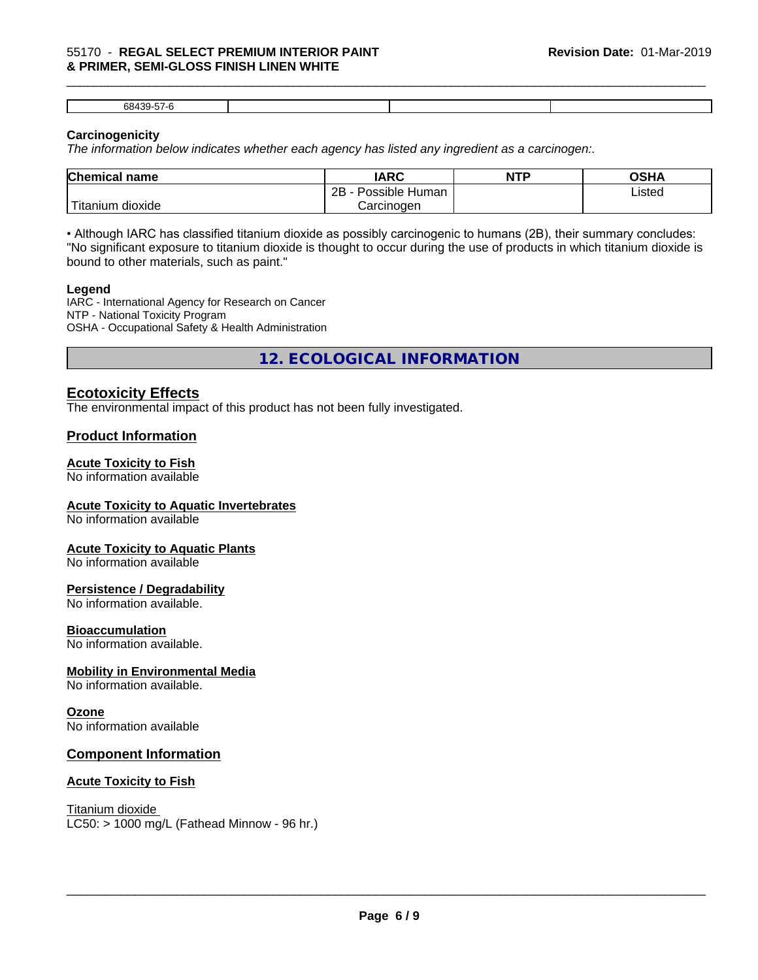#### \_\_\_\_\_\_\_\_\_\_\_\_\_\_\_\_\_\_\_\_\_\_\_\_\_\_\_\_\_\_\_\_\_\_\_\_\_\_\_\_\_\_\_\_\_\_\_\_\_\_\_\_\_\_\_\_\_\_\_\_\_\_\_\_\_\_\_\_\_\_\_\_\_\_\_\_\_\_\_\_\_\_\_\_\_\_\_\_\_\_\_\_\_ 55170 - **REGAL SELECT PREMIUM INTERIOR PAINT & PRIMER, SEMI-GLOSS FINISH LINEN WHITE**

68439-57-6

#### **Carcinogenicity**

*The information below indicateswhether each agency has listed any ingredient as a carcinogen:.*

| <b>Chemical name</b>                      | <b>IARC</b>                       | <b>NTP</b> | OSHA   |  |
|-------------------------------------------|-----------------------------------|------------|--------|--|
|                                           | . .<br>2B<br>Possible<br>∖ Human∶ |            | Listed |  |
| $\mathbf{r}$<br>dioxide<br><b>itanium</b> | Carcinogen                        |            |        |  |

• Although IARC has classified titanium dioxide as possibly carcinogenic to humans (2B), their summary concludes: "No significant exposure to titanium dioxide is thought to occur during the use of products in which titanium dioxide is bound to other materials, such as paint."

#### **Legend**

IARC - International Agency for Research on Cancer NTP - National Toxicity Program OSHA - Occupational Safety & Health Administration

**12. ECOLOGICAL INFORMATION**

# **Ecotoxicity Effects**

The environmental impact of this product has not been fully investigated.

# **Product Information**

#### **Acute Toxicity to Fish**

No information available

#### **Acute Toxicity to Aquatic Invertebrates**

No information available

#### **Acute Toxicity to Aquatic Plants**

No information available

#### **Persistence / Degradability**

No information available.

#### **Bioaccumulation**

No information available.

#### **Mobility in Environmental Media**

No information available.

#### **Ozone**

No information available

#### **Component Information**

#### **Acute Toxicity to Fish**

Titanium dioxide  $LC50:$  > 1000 mg/L (Fathead Minnow - 96 hr.)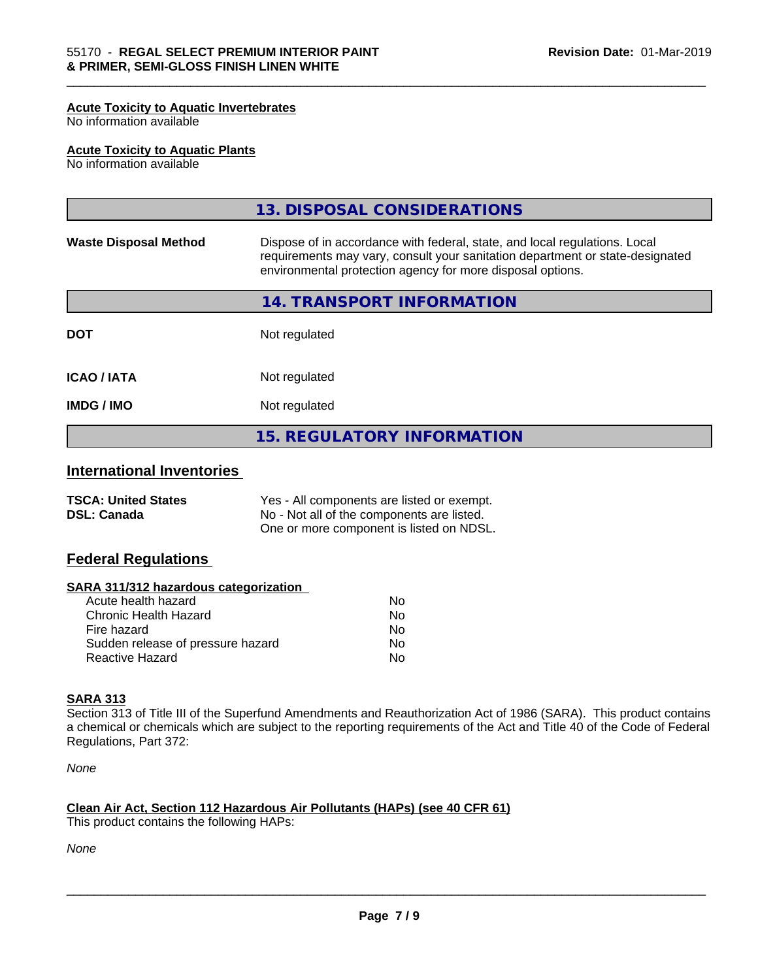#### **Acute Toxicity to Aquatic Invertebrates**

No information available

#### **Acute Toxicity to Aquatic Plants**

No information available

|                              | <b>15. REGULATORY INFORMATION</b>                                                                                                                                                                                         |
|------------------------------|---------------------------------------------------------------------------------------------------------------------------------------------------------------------------------------------------------------------------|
| <b>IMDG / IMO</b>            | Not regulated                                                                                                                                                                                                             |
| <b>ICAO/IATA</b>             | Not regulated                                                                                                                                                                                                             |
| <b>DOT</b>                   | Not regulated                                                                                                                                                                                                             |
|                              | 14. TRANSPORT INFORMATION                                                                                                                                                                                                 |
| <b>Waste Disposal Method</b> | Dispose of in accordance with federal, state, and local regulations. Local<br>requirements may vary, consult your sanitation department or state-designated<br>environmental protection agency for more disposal options. |
|                              | 13. DISPOSAL CONSIDERATIONS                                                                                                                                                                                               |

\_\_\_\_\_\_\_\_\_\_\_\_\_\_\_\_\_\_\_\_\_\_\_\_\_\_\_\_\_\_\_\_\_\_\_\_\_\_\_\_\_\_\_\_\_\_\_\_\_\_\_\_\_\_\_\_\_\_\_\_\_\_\_\_\_\_\_\_\_\_\_\_\_\_\_\_\_\_\_\_\_\_\_\_\_\_\_\_\_\_\_\_\_

# **International Inventories**

| <b>TSCA: United States</b> | Yes - All components are listed or exempt. |
|----------------------------|--------------------------------------------|
| <b>DSL: Canada</b>         | No - Not all of the components are listed. |
|                            | One or more component is listed on NDSL.   |

### **Federal Regulations**

#### **SARA 311/312 hazardous categorization**

| Acute health hazard               | Nο |
|-----------------------------------|----|
| Chronic Health Hazard             | N٥ |
| Fire hazard                       | N٥ |
| Sudden release of pressure hazard | N٥ |
| Reactive Hazard                   | N٥ |

# **SARA 313**

Section 313 of Title III of the Superfund Amendments and Reauthorization Act of 1986 (SARA). This product contains a chemical or chemicals which are subject to the reporting requirements of the Act and Title 40 of the Code of Federal Regulations, Part 372:

*None*

#### **Clean Air Act,Section 112 Hazardous Air Pollutants (HAPs) (see 40 CFR 61)**

This product contains the following HAPs:

*None*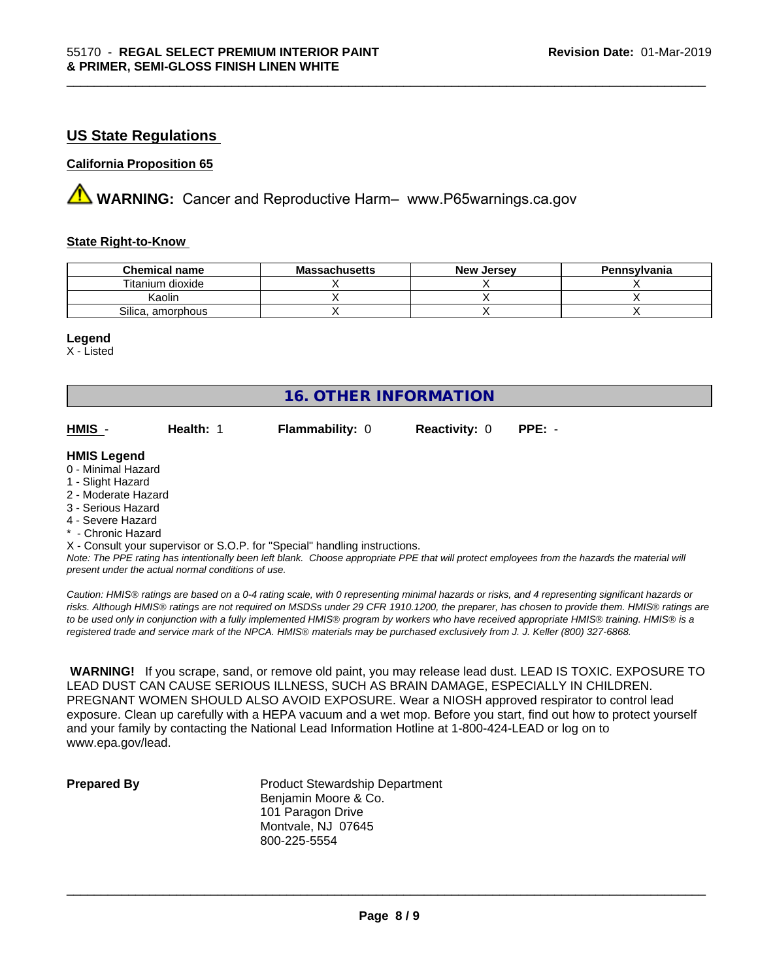# **US State Regulations**

#### **California Proposition 65**

**AVIMARNING:** Cancer and Reproductive Harm– www.P65warnings.ca.gov

#### **State Right-to-Know**

| <b>Chemical name</b> | <b>Massachusetts</b> | <b>New Jersey</b> | Pennsylvania |
|----------------------|----------------------|-------------------|--------------|
| Titanium dioxide     |                      |                   |              |
| Kaolin               |                      |                   |              |
| Silica, amorphous    |                      |                   |              |

\_\_\_\_\_\_\_\_\_\_\_\_\_\_\_\_\_\_\_\_\_\_\_\_\_\_\_\_\_\_\_\_\_\_\_\_\_\_\_\_\_\_\_\_\_\_\_\_\_\_\_\_\_\_\_\_\_\_\_\_\_\_\_\_\_\_\_\_\_\_\_\_\_\_\_\_\_\_\_\_\_\_\_\_\_\_\_\_\_\_\_\_\_

#### **Legend**

X - Listed

|                                                                            |           | <b>16. OTHER INFORMATION</b> |                      |                                                                                                                                               |  |  |
|----------------------------------------------------------------------------|-----------|------------------------------|----------------------|-----------------------------------------------------------------------------------------------------------------------------------------------|--|--|
|                                                                            |           |                              |                      |                                                                                                                                               |  |  |
| HMIS -                                                                     | Health: 1 | Flammability: 0              | <b>Reactivity: 0</b> | $PPE: -$                                                                                                                                      |  |  |
| <b>HMIS Legend</b>                                                         |           |                              |                      |                                                                                                                                               |  |  |
| 0 - Minimal Hazard                                                         |           |                              |                      |                                                                                                                                               |  |  |
| 1 - Slight Hazard                                                          |           |                              |                      |                                                                                                                                               |  |  |
| 2 - Moderate Hazard                                                        |           |                              |                      |                                                                                                                                               |  |  |
| 3 - Serious Hazard                                                         |           |                              |                      |                                                                                                                                               |  |  |
| 4 - Severe Hazard                                                          |           |                              |                      |                                                                                                                                               |  |  |
| * - Chronic Hazard                                                         |           |                              |                      |                                                                                                                                               |  |  |
| X - Consult your supervisor or S.O.P. for "Special" handling instructions. |           |                              |                      |                                                                                                                                               |  |  |
|                                                                            |           |                              |                      | Note: The PPE rating has intentionally been left blank. Choose appropriate PPE that will protect employees from the hazards the material will |  |  |

*present under the actual normal conditions of use.*

*Caution: HMISÒ ratings are based on a 0-4 rating scale, with 0 representing minimal hazards or risks, and 4 representing significant hazards or risks. Although HMISÒ ratings are not required on MSDSs under 29 CFR 1910.1200, the preparer, has chosen to provide them. HMISÒ ratings are to be used only in conjunction with a fully implemented HMISÒ program by workers who have received appropriate HMISÒ training. HMISÒ is a registered trade and service mark of the NPCA. HMISÒ materials may be purchased exclusively from J. J. Keller (800) 327-6868.*

 **WARNING!** If you scrape, sand, or remove old paint, you may release lead dust. LEAD IS TOXIC. EXPOSURE TO LEAD DUST CAN CAUSE SERIOUS ILLNESS, SUCH AS BRAIN DAMAGE, ESPECIALLY IN CHILDREN. PREGNANT WOMEN SHOULD ALSO AVOID EXPOSURE.Wear a NIOSH approved respirator to control lead exposure. Clean up carefully with a HEPA vacuum and a wet mop. Before you start, find out how to protect yourself and your family by contacting the National Lead Information Hotline at 1-800-424-LEAD or log on to www.epa.gov/lead.

**Prepared By** Product Stewardship Department Benjamin Moore & Co. 101 Paragon Drive Montvale, NJ 07645 800-225-5554